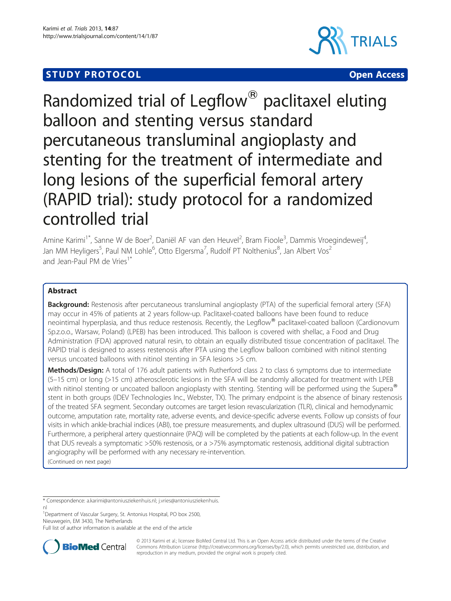# **STUDY PROTOCOL CONSUMING THE CONSUMING OPEN ACCESS**





# Randomized trial of Legflow<sup>®</sup> paclitaxel eluting balloon and stenting versus standard percutaneous transluminal angioplasty and stenting for the treatment of intermediate and long lesions of the superficial femoral artery (RAPID trial): study protocol for a randomized controlled trial

Amine Karimi<sup>1\*</sup>, Sanne W de Boer<sup>2</sup>, Daniël AF van den Heuvel<sup>2</sup>, Bram Fioole<sup>3</sup>, Dammis Vroegindeweij<sup>4</sup> , Jan MM Heyligers<sup>5</sup>, Paul NM Lohle<sup>6</sup>, Otto Elgersma<sup>7</sup>, Rudolf PT Nolthenius<sup>8</sup>, Jan Albert Vos<sup>2</sup> and Jean-Paul PM de Vries<sup>1\*</sup>

# Abstract

**Background:** Restenosis after percutaneous transluminal angioplasty (PTA) of the superficial femoral artery (SFA) may occur in 45% of patients at 2 years follow-up. Paclitaxel-coated balloons have been found to reduce neointimal hyperplasia, and thus reduce restenosis. Recently, the Legflow® paclitaxel-coated balloon (Cardionovum Sp.z.o.o., Warsaw, Poland) (LPEB) has been introduced. This balloon is covered with shellac, a Food and Drug Administration (FDA) approved natural resin, to obtain an equally distributed tissue concentration of paclitaxel. The RAPID trial is designed to assess restenosis after PTA using the Legflow balloon combined with nitinol stenting versus uncoated balloons with nitinol stenting in SFA lesions >5 cm.

Methods/Design: A total of 176 adult patients with Rutherford class 2 to class 6 symptoms due to intermediate (5–15 cm) or long (>15 cm) atherosclerotic lesions in the SFA will be randomly allocated for treatment with LPEB with nitinol stenting or uncoated balloon angioplasty with stenting. Stenting will be performed using the Supera® stent in both groups (IDEV Technologies Inc., Webster, TX). The primary endpoint is the absence of binary restenosis of the treated SFA segment. Secondary outcomes are target lesion revascularization (TLR), clinical and hemodynamic outcome, amputation rate, mortality rate, adverse events, and device-specific adverse events. Follow up consists of four visits in which ankle-brachial indices (ABI), toe pressure measurements, and duplex ultrasound (DUS) will be performed. Furthermore, a peripheral artery questionnaire (PAQ) will be completed by the patients at each follow-up. In the event that DUS reveals a symptomatic >50% restenosis, or a >75% asymptomatic restenosis, additional digital subtraction angiography will be performed with any necessary re-intervention. (Continued on next page)

\* Correspondence: [a.karimi@antoniusziekenhuis.nl](mailto:a.karimi@antoniusziekenhuis.nl); [j.vries@antoniusziekenhuis.](mailto:j.vries@antoniusziekenhuis.nl)

[nl](mailto:j.vries@antoniusziekenhuis.nl) <sup>1</sup>Department of Vascular Surgery, St. Antonius Hospital, PO box 2500, Nieuwegein, EM 3430, The Netherlands

Full list of author information is available at the end of the article



© 2013 Karimi et al.; licensee BioMed Central Ltd. This is an Open Access article distributed under the terms of the Creative Commons Attribution License [\(http://creativecommons.org/licenses/by/2.0\)](http://creativecommons.org/licenses/by/2.0), which permits unrestricted use, distribution, and reproduction in any medium, provided the original work is properly cited.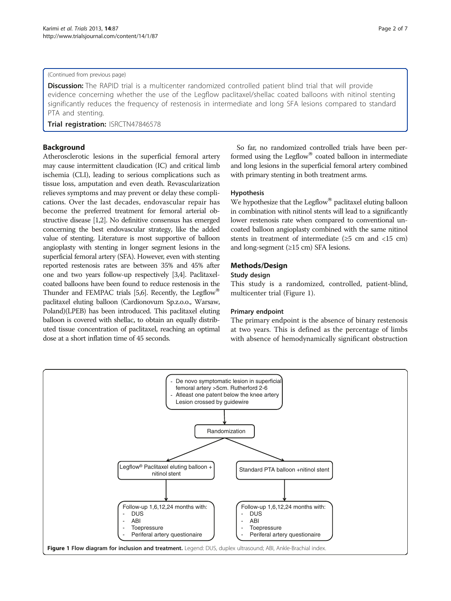#### (Continued from previous page)

Discussion: The RAPID trial is a multicenter randomized controlled patient blind trial that will provide evidence concerning whether the use of the Legflow paclitaxel/shellac coated balloons with nitinol stenting significantly reduces the frequency of restenosis in intermediate and long SFA lesions compared to standard PTA and stenting.

Trial registration: [ISRCTN47846578](http://www.controlled-trials.com/ISRCTN47846578/)

# Background

Atherosclerotic lesions in the superficial femoral artery may cause intermittent claudication (IC) and critical limb ischemia (CLI), leading to serious complications such as tissue loss, amputation and even death. Revascularization relieves symptoms and may prevent or delay these complications. Over the last decades, endovascular repair has become the preferred treatment for femoral arterial obstructive disease [[1,2\]](#page-6-0). No definitive consensus has emerged concerning the best endovascular strategy, like the added value of stenting. Literature is most supportive of balloon angioplasty with stenting in longer segment lesions in the superficial femoral artery (SFA). However, even with stenting reported restenosis rates are between 35% and 45% after one and two years follow-up respectively [\[3,4](#page-6-0)]. Paclitaxelcoated balloons have been found to reduce restenosis in the Thunder and FEMPAC trials [\[5,6](#page-6-0)]. Recently, the Legflow<sup>®</sup> paclitaxel eluting balloon (Cardionovum Sp.z.o.o., Warsaw, Poland)(LPEB) has been introduced. This paclitaxel eluting balloon is covered with shellac, to obtain an equally distributed tissue concentration of paclitaxel, reaching an optimal dose at a short inflation time of 45 seconds.

So far, no randomized controlled trials have been performed using the Legflow $^{\circledR}$  coated balloon in intermediate and long lesions in the superficial femoral artery combined with primary stenting in both treatment arms.

# Hypothesis

We hypothesize that the Legflow<sup>®</sup> paclitaxel eluting balloon in combination with nitinol stents will lead to a significantly lower restenosis rate when compared to conventional uncoated balloon angioplasty combined with the same nitinol stents in treatment of intermediate  $(≥5 cm and <15 cm)$ and long-segment (≥15 cm) SFA lesions.

# Methods/Design

# Study design

This study is a randomized, controlled, patient-blind, multicenter trial (Figure 1).

# Primary endpoint

The primary endpoint is the absence of binary restenosis at two years. This is defined as the percentage of limbs with absence of hemodynamically significant obstruction

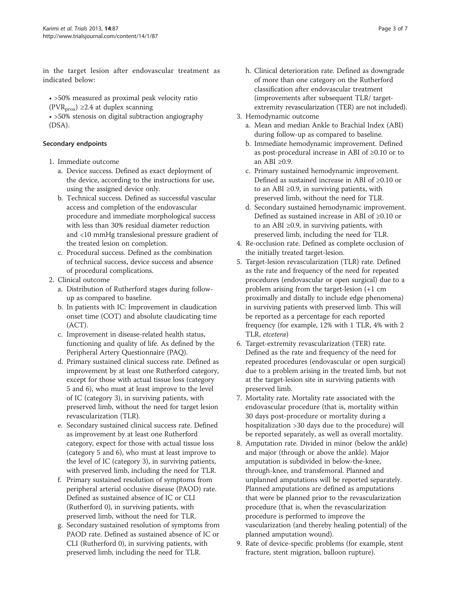in the target lesion after endovascular treatment as indicated below:

• >50% measured as proximal peak velocity ratio (PVR<sub>prox</sub>) ≥2.4 at duplex scanning

• >50% stenosis on digital subtraction angiography (DSA).

# Secondary endpoints

- 1. Immediate outcome
	- a. Device success. Defined as exact deployment of the device, according to the instructions for use, using the assigned device only.
	- b. Technical success. Defined as successful vascular access and completion of the endovascular procedure and immediate morphological success with less than 30% residual diameter reduction and <10 mmHg translesional pressure gradient of the treated lesion on completion.
	- c. Procedural success. Defined as the combination of technical success, device success and absence of procedural complications.
- 2. Clinical outcome
	- a. Distribution of Rutherford stages during followup as compared to baseline.
	- b. In patients with IC: Improvement in claudication onset time (COT) and absolute claudicating time (ACT).
	- c. Improvement in disease-related health status, functioning and quality of life. As defined by the Peripheral Artery Questionnaire (PAQ).
	- d. Primary sustained clinical success rate. Defined as improvement by at least one Rutherford category, except for those with actual tissue loss (category 5 and 6), who must at least improve to the level of IC (category 3), in surviving patients, with preserved limb, without the need for target lesion revascularization (TLR).
	- e. Secondary sustained clinical success rate. Defined as improvement by at least one Rutherford category, expect for those with actual tissue loss (category 5 and 6), who must at least improve to the level of IC (category 3), in surviving patients, with preserved limb, including the need for TLR.
	- f. Primary sustained resolution of symptoms from peripheral arterial occlusive disease (PAOD) rate. Defined as sustained absence of IC or CLI (Rutherford 0), in surviving patients, with preserved limb, without the need for TLR.
	- g. Secondary sustained resolution of symptoms from PAOD rate. Defined as sustained absence of IC or CLI (Rutherford 0), in surviving patients, with preserved limb, including the need for TLR.
- h. Clinical deterioration rate. Defined as downgrade of more than one category on the Rutherford classification after endovascular treatment (improvements after subsequent TLR/ targetextremity revascularization (TER) are not included).
- 3. Hemodynamic outcome
	- a. Mean and median Ankle to Brachial Index (ABI) during follow-up as compared to baseline.
	- b. Immediate hemodynamic improvement. Defined as post-procedural increase in ABI of ≥0.10 or to an ABI ≥0.9.
	- c. Primary sustained hemodynamic improvement. Defined as sustained increase in ABI of ≥0.10 or to an ABI ≥0.9, in surviving patients, with preserved limb, without the need for TLR.
	- d. Secondary sustained hemodynamic improvement. Defined as sustained increase in ABI of ≥0.10 or to an ABI ≥0.9, in surviving patients, with preserved limb, including the need for TLR.
- 4. Re-occlusion rate. Defined as complete occlusion of the initially treated target-lesion.
- 5. Target-lesion revascularization (TLR) rate. Defined as the rate and frequency of the need for repeated procedures (endovascular or open surgical) due to a problem arising from the target-lesion (+1 cm proximally and distally to include edge phenomena) in surviving patients with preserved limb. This will be reported as a percentage for each reported frequency (for example, 12% with 1 TLR, 4% with 2 TLR, etcetera)
- 6. Target-extremity revascularization (TER) rate. Defined as the rate and frequency of the need for repeated procedures (endovascular or open surgical) due to a problem arising in the treated limb, but not at the target-lesion site in surviving patients with preserved limb.
- 7. Mortality rate. Mortality rate associated with the endovascular procedure (that is, mortality within 30 days post-procedure or mortality during a hospitalization >30 days due to the procedure) will be reported separately, as well as overall mortality.
- 8. Amputation rate. Divided in minor (below the ankle) and major (through or above the ankle). Major amputation is subdivided in below-the-knee, through-knee, and transfemoral. Planned and unplanned amputations will be reported separately. Planned amputations are defined as amputations that were be planned prior to the revascularization procedure (that is, when the revascularization procedure is performed to improve the vascularization (and thereby healing potential) of the planned amputation wound).
- 9. Rate of device-specific problems (for example, stent fracture, stent migration, balloon rupture).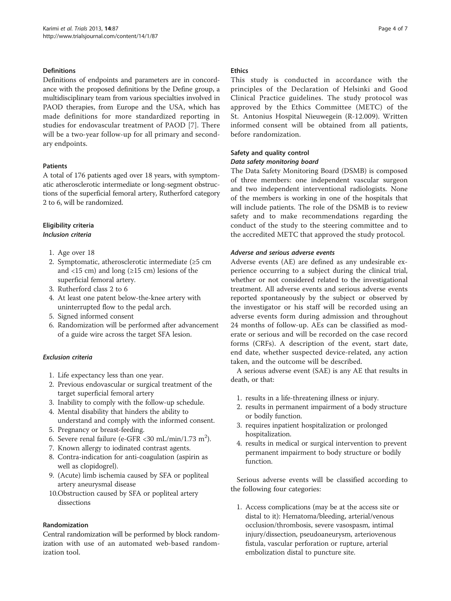# **Definitions**

Definitions of endpoints and parameters are in concordance with the proposed definitions by the Define group, a multidisciplinary team from various specialties involved in PAOD therapies, from Europe and the USA, which has made definitions for more standardized reporting in studies for endovascular treatment of PAOD [[7\]](#page-6-0). There will be a two-year follow-up for all primary and secondary endpoints.

#### Patients

A total of 176 patients aged over 18 years, with symptomatic atherosclerotic intermediate or long-segment obstructions of the superficial femoral artery, Rutherford category 2 to 6, will be randomized.

# Eligibility criteria Inclusion criteria

- 1. Age over 18
- 2. Symptomatic, atherosclerotic intermediate (≥5 cm and <15 cm) and long ( $\geq$ 15 cm) lesions of the superficial femoral artery.
- 3. Rutherford class 2 to 6
- 4. At least one patent below-the-knee artery with uninterrupted flow to the pedal arch.
- 5. Signed informed consent
- 6. Randomization will be performed after advancement of a guide wire across the target SFA lesion.

#### Exclusion criteria

- 1. Life expectancy less than one year.
- 2. Previous endovascular or surgical treatment of the target superficial femoral artery
- 3. Inability to comply with the follow-up schedule.
- 4. Mental disability that hinders the ability to
- understand and comply with the informed consent. 5. Pregnancy or breast-feeding.
- 6. Severe renal failure (e-GFR <30 mL/min/1.73 m<sup>2</sup>).
- 7. Known allergy to iodinated contrast agents.
- 8. Contra-indication for anti-coagulation (aspirin as well as clopidogrel).
- 9. (Acute) limb ischemia caused by SFA or popliteal artery aneurysmal disease
- 10.Obstruction caused by SFA or popliteal artery dissections

# Randomization

Central randomization will be performed by block randomization with use of an automated web-based randomization tool.

#### **Ethics**

This study is conducted in accordance with the principles of the Declaration of Helsinki and Good Clinical Practice guidelines. The study protocol was approved by the Ethics Committee (METC) of the St. Antonius Hospital Nieuwegein (R-12.009). Written informed consent will be obtained from all patients, before randomization.

# Safety and quality control Data safety monitoring board

The Data Safety Monitoring Board (DSMB) is composed of three members: one independent vascular surgeon and two independent interventional radiologists. None of the members is working in one of the hospitals that will include patients. The role of the DSMB is to review safety and to make recommendations regarding the conduct of the study to the steering committee and to the accredited METC that approved the study protocol.

# Adverse and serious adverse events

Adverse events (AE) are defined as any undesirable experience occurring to a subject during the clinical trial, whether or not considered related to the investigational treatment. All adverse events and serious adverse events reported spontaneously by the subject or observed by the investigator or his staff will be recorded using an adverse events form during admission and throughout 24 months of follow-up. AEs can be classified as moderate or serious and will be recorded on the case record forms (CRFs). A description of the event, start date, end date, whether suspected device-related, any action taken, and the outcome will be described.

A serious adverse event (SAE) is any AE that results in death, or that:

- 1. results in a life-threatening illness or injury.
- 2. results in permanent impairment of a body structure or bodily function.
- 3. requires inpatient hospitalization or prolonged hospitalization.
- 4. results in medical or surgical intervention to prevent permanent impairment to body structure or bodily function.

Serious adverse events will be classified according to the following four categories:

1. Access complications (may be at the access site or distal to it): Hematoma/bleeding, arterial/venous occlusion/thrombosis, severe vasospasm, intimal injury/dissection, pseudoaneurysm, arteriovenous fistula, vascular perforation or rupture, arterial embolization distal to puncture site.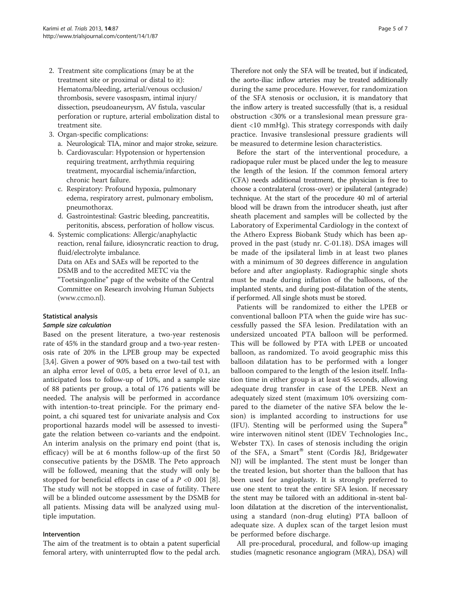- 2. Treatment site complications (may be at the treatment site or proximal or distal to it): Hematoma/bleeding, arterial/venous occlusion/ thrombosis, severe vasospasm, intimal injury/ dissection, pseudoaneurysm, AV fistula, vascular perforation or rupture, arterial embolization distal to treatment site.
- 3. Organ-specific complications:
	- a. Neurological: TIA, minor and major stroke, seizure.
	- b. Cardiovascular: Hypotension or hypertension requiring treatment, arrhythmia requiring treatment, myocardial ischemia/infarction, chronic heart failure.
	- c. Respiratory: Profound hypoxia, pulmonary edema, respiratory arrest, pulmonary embolism, pneumothorax.
	- d. Gastrointestinal: Gastric bleeding, pancreatitis, peritonitis, abscess, perforation of hollow viscus.
- 4. Systemic complications: Allergic/anaphylactic reaction, renal failure, idiosyncratic reaction to drug, fluid/electrolyte imbalance.

Data on AEs and SAEs will be reported to the DSMB and to the accredited METC via the "Toetsingonline" page of the website of the Central Committee on Research involving Human Subjects [\(www.ccmo.nl\)](http://www.ccmo.nl/).

#### Statistical analysis

#### Sample size calculation

Based on the present literature, a two-year restenosis rate of 45% in the standard group and a two-year restenosis rate of 20% in the LPEB group may be expected [[3,4\]](#page-6-0). Given a power of 90% based on a two-tail test with an alpha error level of 0.05, a beta error level of 0.1, an anticipated loss to follow-up of 10%, and a sample size of 88 patients per group, a total of 176 patients will be needed. The analysis will be performed in accordance with intention-to-treat principle. For the primary endpoint, a chi squared test for univariate analysis and Cox proportional hazards model will be assessed to investigate the relation between co-variants and the endpoint. An interim analysis on the primary end point (that is, efficacy) will be at 6 months follow-up of the first 50 consecutive patients by the DSMB. The Peto approach will be followed, meaning that the study will only be stopped for beneficial effects in case of a  $P < 0.001$  [\[8](#page-6-0)]. The study will not be stopped in case of futility. There will be a blinded outcome assessment by the DSMB for all patients. Missing data will be analyzed using multiple imputation.

#### Intervention

The aim of the treatment is to obtain a patent superficial femoral artery, with uninterrupted flow to the pedal arch.

Therefore not only the SFA will be treated, but if indicated, the aorto-iliac inflow arteries may be treated additionally during the same procedure. However, for randomization of the SFA stenosis or occlusion, it is mandatory that the inflow artery is treated successfully (that is, a residual obstruction <30% or a translesional mean pressure gradient <10 mmHg). This strategy corresponds with daily practice. Invasive translesional pressure gradients will be measured to determine lesion characteristics.

Before the start of the interventional procedure, a radiopaque ruler must be placed under the leg to measure the length of the lesion. If the common femoral artery (CFA) needs additional treatment, the physician is free to choose a contralateral (cross-over) or ipsilateral (antegrade) technique. At the start of the procedure 40 ml of arterial blood will be drawn from the introducer sheath, just after sheath placement and samples will be collected by the Laboratory of Experimental Cardiology in the context of the Athero Express Biobank Study which has been approved in the past (study nr. C-01.18). DSA images will be made of the ipsilateral limb in at least two planes with a minimum of 30 degrees difference in angulation before and after angioplasty. Radiographic single shots must be made during inflation of the balloons, of the implanted stents, and during post-dilatation of the stents, if performed. All single shots must be stored.

Patients will be randomized to either the LPEB or conventional balloon PTA when the guide wire has successfully passed the SFA lesion. Predilatation with an undersized uncoated PTA balloon will be performed. This will be followed by PTA with LPEB or uncoated balloon, as randomized. To avoid geographic miss this balloon dilatation has to be performed with a longer balloon compared to the length of the lesion itself. Inflation time in either group is at least 45 seconds, allowing adequate drug transfer in case of the LPEB. Next an adequately sized stent (maximum 10% oversizing compared to the diameter of the native SFA below the lesion) is implanted according to instructions for use (IFU). Stenting will be performed using the Supera<sup>®</sup> wire interwoven nitinol stent (IDEV Technologies Inc., Webster TX). In cases of stenosis including the origin of the SFA, a Smart® stent (Cordis J&J, Bridgewater NJ) will be implanted. The stent must be longer than the treated lesion, but shorter than the balloon that has been used for angioplasty. It is strongly preferred to use one stent to treat the entire SFA lesion. If necessary the stent may be tailored with an additional in-stent balloon dilatation at the discretion of the interventionalist, using a standard (non-drug eluting) PTA balloon of adequate size. A duplex scan of the target lesion must be performed before discharge.

All pre-procedural, procedural, and follow-up imaging studies (magnetic resonance angiogram (MRA), DSA) will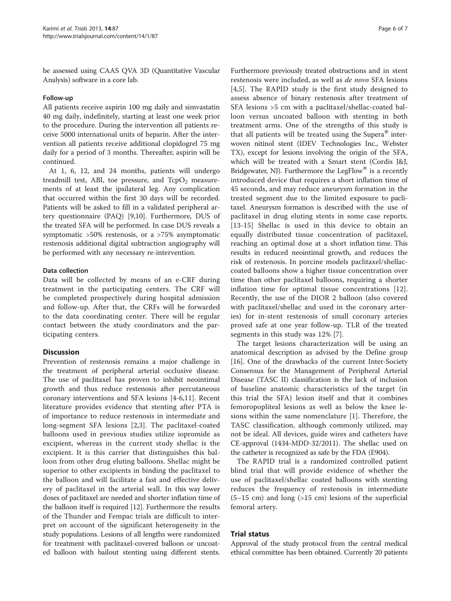be assessed using CAAS QVA 3D (Quantitative Vascular Analysis) software in a core lab.

#### Follow-up

All patients receive aspirin 100 mg daily and simvastatin 40 mg daily, indefinitely, starting at least one week prior to the procedure. During the intervention all patients receive 5000 international units of heparin. After the intervention all patients receive additional clopidogrel 75 mg daily for a period of 3 months. Thereafter, aspirin will be continued.

At 1, 6, 12, and 24 months, patients will undergo treadmill test, ABI, toe pressure, and  $TcpO<sub>2</sub>$  measurements of at least the ipsilateral leg. Any complication that occurred within the first 30 days will be recorded. Patients will be asked to fill in a validated peripheral artery questionnaire (PAQ) [[9,10\]](#page-6-0). Furthermore, DUS of the treated SFA will be performed. In case DUS reveals a symptomatic >50% restenosis, or a >75% asymptomatic restenosis additional digital subtraction angiography will be performed with any necessary re-intervention.

#### Data collection

Data will be collected by means of an e-CRF during treatment in the participating centers. The CRF will be completed prospectively during hospital admission and follow-up. After that, the CRFs will be forwarded to the data coordinating center. There will be regular contact between the study coordinators and the participating centers.

# **Discussion**

Prevention of restenosis remains a major challenge in the treatment of peripheral arterial occlusive disease. The use of paclitaxel has proven to inhibit neointimal growth and thus reduce restenosis after percutaneous coronary interventions and SFA lesions [\[4](#page-6-0)-[6,11\]](#page-6-0). Recent literature provides evidence that stenting after PTA is of importance to reduce restenosis in intermediate and long-segment SFA lesions [\[2](#page-6-0),[3\]](#page-6-0). The paclitaxel-coated balloons used in previous studies utilize iopromide as excipient, whereas in the current study shellac is the excipient. It is this carrier that distinguishes this balloon from other drug eluting balloons. Shellac might be superior to other excipients in binding the paclitaxel to the balloon and will facilitate a fast and effective delivery of paclitaxel in the arterial wall. In this way lower doses of paclitaxel are needed and shorter inflation time of the balloon itself is required [\[12](#page-6-0)]. Furthermore the results of the Thunder and Fempac trials are difficult to interpret on account of the significant heterogeneity in the study populations. Lesions of all lengths were randomized for treatment with paclitaxel-covered balloon or uncoated balloon with bailout stenting using different stents.

Furthermore previously treated obstructions and in stent restenosis were included, as well as de novo SFA lesions [[4,5](#page-6-0)]. The RAPID study is the first study designed to assess absence of binary restenosis after treatment of SFA lesions >5 cm with a paclitaxel/shellac-coated balloon versus uncoated balloon with stenting in both treatment arms. One of the strengths of this study is that all patients will be treated using the Supera<sup>®</sup> interwoven nitinol stent (IDEV Technologies Inc., Webster TX), except for lesions involving the origin of the SFA, which will be treated with a Smart stent (Cordis J&J, Bridgewater, NJ). Furthermore the LegFlow® is a recently introduced device that requires a short inflation time of 45 seconds, and may reduce aneurysm formation in the treated segment due to the limited exposure to paclitaxel. Aneurysm formation is described with the use of paclitaxel in drug eluting stents in some case reports. [[13-15\]](#page-6-0) Shellac is used in this device to obtain an equally distributed tissue concentration of paclitaxel, reaching an optimal dose at a short inflation time. This results in reduced neointimal growth, and reduces the risk of restenosis. In porcine models paclitaxel/shellaccoated balloons show a higher tissue concentration over time than other paclitaxel balloons, requiring a shorter inflation time for optimal tissue concentrations [\[12](#page-6-0)]. Recently, the use of the DIOR 2 balloon (also covered with paclitaxel/shellac and used in the coronary arteries) for in-stent restenosis of small coronary arteries proved safe at one year follow-up. TLR of the treated segments in this study was 12% [[7](#page-6-0)].

The target lesions characterization will be using an anatomical description as advised by the Define group [[16\]](#page-6-0). One of the drawbacks of the current Inter-Society Consensus for the Management of Peripheral Arterial Disease (TASC II) classification is the lack of inclusion of baseline anatomic characteristics of the target (in this trial the SFA) lesion itself and that it combines femoropopliteal lesions as well as below the knee lesions within the same nomenclature [[1\]](#page-6-0). Therefore, the TASC classification, although commonly utilized, may not be ideal. All devices, guide wires and catheters have CE-approval (1434-MDD-32/2011). The shellac used on the catheter is recognized as safe by the FDA (E904).

The RAPID trial is a randomized controlled patient blind trial that will provide evidence of whether the use of paclitaxel/shellac coated balloons with stenting reduces the frequency of restenosis in intermediate  $(5-15 \text{ cm})$  and long  $(>15 \text{ cm})$  lesions of the superficial femoral artery.

#### Trial status

Approval of the study protocol from the central medical ethical committee has been obtained. Currently 20 patients